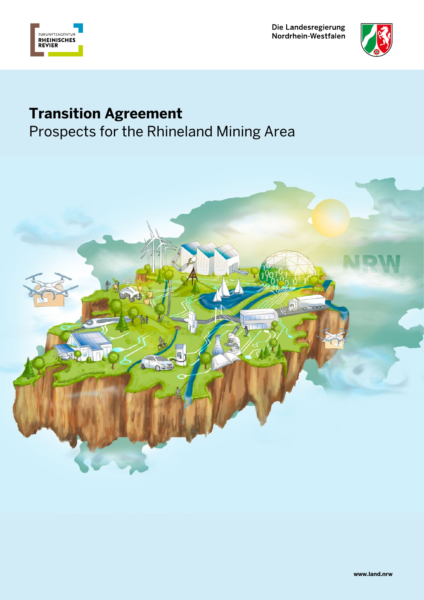



# **Transition Agreement**

Prospects for the Rhineland Mining Area

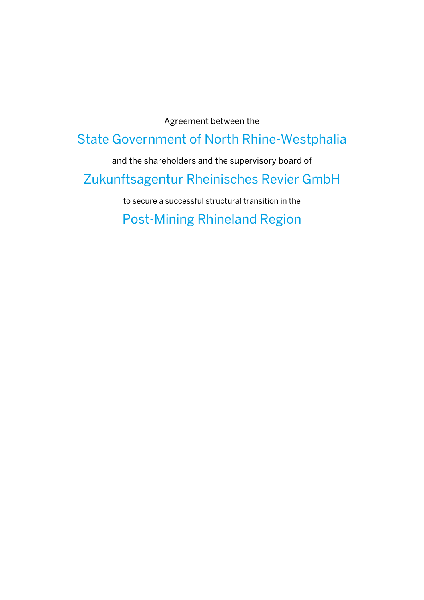Agreement between the

# State Government of North Rhine-Westphalia

and the shareholders and the supervisory board of

# Zukunftsagentur Rheinisches Revier GmbH

to secure a successful structural transition in the

Post-Mining Rhineland Region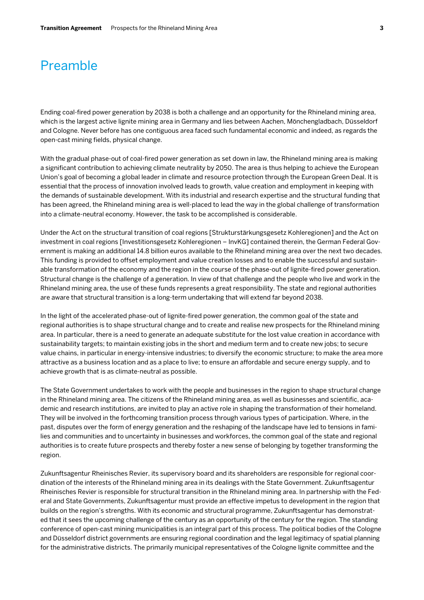# Preamble

Ending coal-fired power generation by 2038 is both a challenge and an opportunity for the Rhineland mining area, which is the largest active lignite mining area in Germany and lies between Aachen, Mönchengladbach, Düsseldorf and Cologne. Never before has one contiguous area faced such fundamental economic and indeed, as regards the open-cast mining fields, physical change.

With the gradual phase-out of coal-fired power generation as set down in law, the Rhineland mining area is making a significant contribution to achieving climate neutrality by 2050. The area is thus helping to achieve the European Union's goal of becoming a global leader in climate and resource protection through the European Green Deal. It is essential that the process of innovation involved leads to growth, value creation and employment in keeping with the demands of sustainable development. With its industrial and research expertise and the structural funding that has been agreed, the Rhineland mining area is well-placed to lead the way in the global challenge of transformation into a climate-neutral economy. However, the task to be accomplished is considerable.

Under the Act on the structural transition of coal regions [Strukturstärkungsgesetz Kohleregionen] and the Act on investment in coal regions [Investitionsgesetz Kohleregionen – InvKG] contained therein, the German Federal Government is making an additional 14.8 billion euros available to the Rhineland mining area over the next two decades. This funding is provided to offset employment and value creation losses and to enable the successful and sustainable transformation of the economy and the region in the course of the phase-out of lignite-fired power generation. Structural change is the challenge of a generation. In view of that challenge and the people who live and work in the Rhineland mining area, the use of these funds represents a great responsibility. The state and regional authorities are aware that structural transition is a long-term undertaking that will extend far beyond 2038.

In the light of the accelerated phase-out of lignite-fired power generation, the common goal of the state and regional authorities is to shape structural change and to create and realise new prospects for the Rhineland mining area. In particular, there is a need to generate an adequate substitute for the lost value creation in accordance with sustainability targets; to maintain existing jobs in the short and medium term and to create new jobs; to secure value chains, in particular in energy-intensive industries; to diversify the economic structure; to make the area more attractive as a business location and as a place to live; to ensure an affordable and secure energy supply, and to achieve growth that is as climate-neutral as possible.

The State Government undertakes to work with the people and businesses in the region to shape structural change in the Rhineland mining area. The citizens of the Rhineland mining area, as well as businesses and scientific, academic and research institutions, are invited to play an active role in shaping the transformation of their homeland. They will be involved in the forthcoming transition process through various types of participation. Where, in the past, disputes over the form of energy generation and the reshaping of the landscape have led to tensions in families and communities and to uncertainty in businesses and workforces, the common goal of the state and regional authorities is to create future prospects and thereby foster a new sense of belonging by together transforming the region.

Zukunftsagentur Rheinisches Revier, its supervisory board and its shareholders are responsible for regional coordination of the interests of the Rhineland mining area in its dealings with the State Government. Zukunftsagentur Rheinisches Revier is responsible for structural transition in the Rhineland mining area. In partnership with the Federal and State Governments, Zukunftsagentur must provide an effective impetus to development in the region that builds on the region's strengths. With its economic and structural programme, Zukunftsagentur has demonstrated that it sees the upcoming challenge of the century as an opportunity of the century for the region. The standing conference of open-cast mining municipalities is an integral part of this process. The political bodies of the Cologne and Düsseldorf district governments are ensuring regional coordination and the legal legitimacy of spatial planning for the administrative districts. The primarily municipal representatives of the Cologne lignite committee and the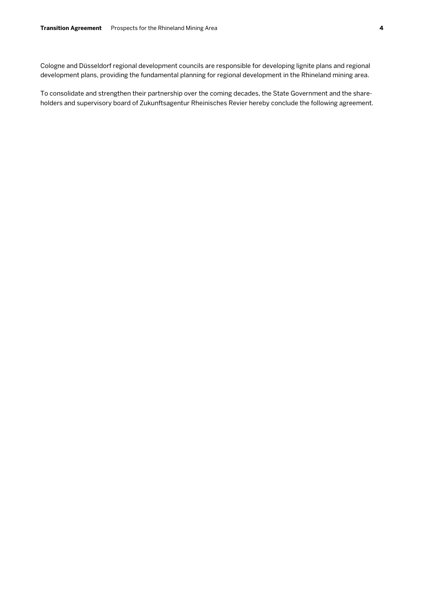Cologne and Düsseldorf regional development councils are responsible for developing lignite plans and regional development plans, providing the fundamental planning for regional development in the Rhineland mining area.

To consolidate and strengthen their partnership over the coming decades, the State Government and the shareholders and supervisory board of Zukunftsagentur Rheinisches Revier hereby conclude the following agreement.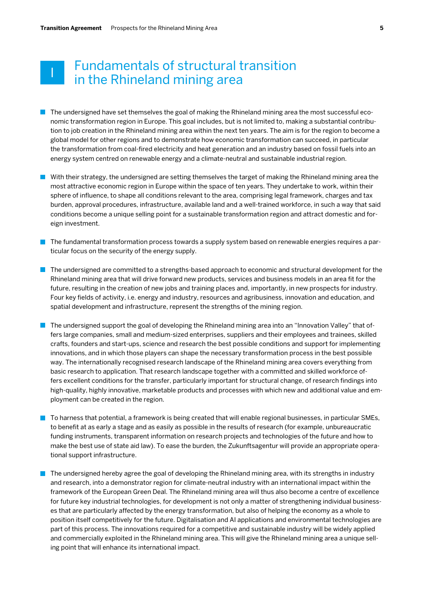#### **5**

# Fundamentals of structural transition in the Rhineland mining area

- $\blacksquare$  The undersigned have set themselves the goal of making the Rhineland mining area the most successful economic transformation region in Europe. This goal includes, but is not limited to, making a substantial contribution to job creation in the Rhineland mining area within the next ten years. The aim is for the region to become a global model for other regions and to demonstrate how economic transformation can succeed, in particular the transformation from coal-fired electricity and heat generation and an industry based on fossil fuels into an energy system centred on renewable energy and a climate-neutral and sustainable industrial region.
- With their strategy, the undersigned are setting themselves the target of making the Rhineland mining area the most attractive economic region in Europe within the space of ten years. They undertake to work, within their sphere of influence, to shape all conditions relevant to the area, comprising legal framework, charges and tax burden, approval procedures, infrastructure, available land and a well-trained workforce, in such a way that said conditions become a unique selling point for a sustainable transformation region and attract domestic and foreign investment.
- $\blacksquare$  The fundamental transformation process towards a supply system based on renewable energies requires a particular focus on the security of the energy supply.
- $\blacksquare$  The undersigned are committed to a strengths-based approach to economic and structural development for the Rhineland mining area that will drive forward new products, services and business models in an area fit for the future, resulting in the creation of new jobs and training places and, importantly, in new prospects for industry. Four key fields of activity, i.e. energy and industry, resources and agribusiness, innovation and education, and spatial development and infrastructure, represent the strengths of the mining region.
- **The undersigned support the goal of developing the Rhineland mining area into an "Innovation Valley" that of**fers large companies, small and medium-sized enterprises, suppliers and their employees and trainees, skilled crafts, founders and start-ups, science and research the best possible conditions and support for implementing innovations, and in which those players can shape the necessary transformation process in the best possible way. The internationally recognised research landscape of the Rhineland mining area covers everything from basic research to application. That research landscape together with a committed and skilled workforce offers excellent conditions for the transfer, particularly important for structural change, of research findings into high-quality, highly innovative, marketable products and processes with which new and additional value and employment can be created in the region.
- $\blacksquare$  To harness that potential, a framework is being created that will enable regional businesses, in particular SMEs, to benefit at as early a stage and as easily as possible in the results of research (for example, unbureaucratic funding instruments, transparent information on research projects and technologies of the future and how to make the best use of state aid law). To ease the burden, the Zukunftsagentur will provide an appropriate operational support infrastructure.
- $\blacksquare$  The undersigned hereby agree the goal of developing the Rhineland mining area, with its strengths in industry and research, into a demonstrator region for climate-neutral industry with an international impact within the framework of the European Green Deal. The Rhineland mining area will thus also become a centre of excellence for future key industrial technologies, for development is not only a matter of strengthening individual businesses that are particularly affected by the energy transformation, but also of helping the economy as a whole to position itself competitively for the future. Digitalisation and AI applications and environmental technologies are part of this process. The innovations required for a competitive and sustainable industry will be widely applied and commercially exploited in the Rhineland mining area. This will give the Rhineland mining area a unique selling point that will enhance its international impact.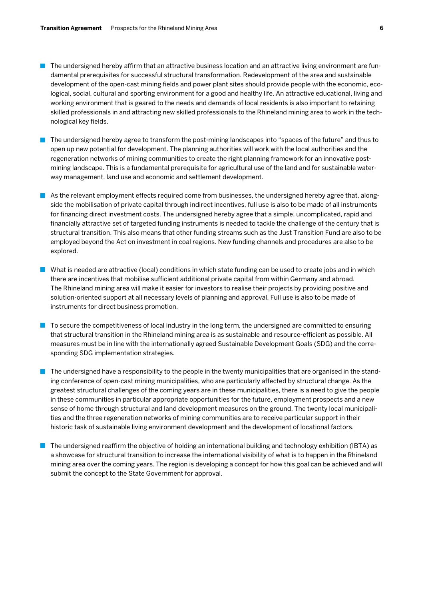- **The undersigned hereby affirm that an attractive business location and an attractive living environment are fun**damental prerequisites for successful structural transformation. Redevelopment of the area and sustainable development of the open-cast mining fields and power plant sites should provide people with the economic, ecological, social, cultural and sporting environment for a good and healthy life. An attractive educational, living and working environment that is geared to the needs and demands of local residents is also important to retaining skilled professionals in and attracting new skilled professionals to the Rhineland mining area to work in the technological key fields.
- The undersigned hereby agree to transform the post-mining landscapes into "spaces of the future" and thus to open up new potential for development. The planning authorities will work with the local authorities and the regeneration networks of mining communities to create the right planning framework for an innovative postmining landscape. This is a fundamental prerequisite for agricultural use of the land and for sustainable waterway management, land use and economic and settlement development.
- As the relevant employment effects required come from businesses, the undersigned hereby agree that, alongside the mobilisation of private capital through indirect incentives, full use is also to be made of all instruments for financing direct investment costs. The undersigned hereby agree that a simple, uncomplicated, rapid and financially attractive set of targeted funding instruments is needed to tackle the challenge of the century that is structural transition. This also means that other funding streams such as the Just Transition Fund are also to be employed beyond the Act on investment in coal regions. New funding channels and procedures are also to be explored.
- What is needed are attractive (local) conditions in which state funding can be used to create jobs and in which there are incentives that mobilise sufficient additional private capital from within Germany and abroad. The Rhineland mining area will make it easier for investors to realise their projects by providing positive and solution-oriented support at all necessary levels of planning and approval. Full use is also to be made of instruments for direct business promotion.
- $\blacksquare$  To secure the competitiveness of local industry in the long term, the undersigned are committed to ensuring that structural transition in the Rhineland mining area is as sustainable and resource-efficient as possible. All measures must be in line with the internationally agreed Sustainable Development Goals (SDG) and the corresponding SDG implementation strategies.
- $\blacksquare$  The undersigned have a responsibility to the people in the twenty municipalities that are organised in the standing conference of open-cast mining municipalities, who are particularly affected by structural change. As the greatest structural challenges of the coming years are in these municipalities, there is a need to give the people in these communities in particular appropriate opportunities for the future, employment prospects and a new sense of home through structural and land development measures on the ground. The twenty local municipalities and the three regeneration networks of mining communities are to receive particular support in their historic task of sustainable living environment development and the development of locational factors.
- $\blacksquare$  The undersigned reaffirm the objective of holding an international building and technology exhibition (IBTA) as a showcase for structural transition to increase the international visibility of what is to happen in the Rhineland mining area over the coming years. The region is developing a concept for how this goal can be achieved and will submit the concept to the State Government for approval.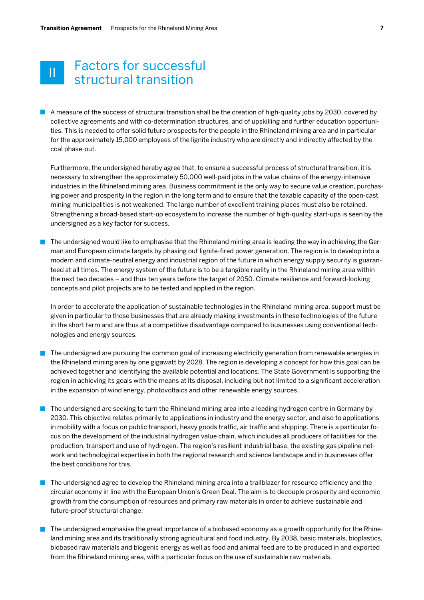# Factors for successful  $\begin{array}{|l|} \hline \ \hline \ \hline \ \hline \ \end{array}$  structural transition

A measure of the success of structural transition shall be the creation of high-quality jobs by 2030, covered by collective agreements and with co-determination structures, and of upskilling and further education opportunities. This is needed to offer solid future prospects for the people in the Rhineland mining area and in particular for the approximately 15,000 employees of the lignite industry who are directly and indirectly affected by the coal phase-out.

Furthermore, the undersigned hereby agree that, to ensure a successful process of structural transition, it is necessary to strengthen the approximately 50,000 well-paid jobs in the value chains of the energy-intensive industries in the Rhineland mining area. Business commitment is the only way to secure value creation, purchasing power and prosperity in the region in the long term and to ensure that the taxable capacity of the open-cast mining municipalities is not weakened. The large number of excellent training places must also be retained. Strengthening a broad-based start-up ecosystem to increase the number of high-quality start-ups is seen by the undersigned as a key factor for success.

The undersigned would like to emphasise that the Rhineland mining area is leading the way in achieving the German and European climate targets by phasing out lignite-fired power generation. The region is to develop into a modern and climate-neutral energy and industrial region of the future in which energy supply security is guaranteed at all times. The energy system of the future is to be a tangible reality in the Rhineland mining area within the next two decades – and thus ten years before the target of 2050. Climate resilience and forward-looking concepts and pilot projects are to be tested and applied in the region.

In order to accelerate the application of sustainable technologies in the Rhineland mining area, support must be given in particular to those businesses that are already making investments in these technologies of the future in the short term and are thus at a competitive disadvantage compared to businesses using conventional technologies and energy sources.

- The undersigned are pursuing the common goal of increasing electricity generation from renewable energies in the Rhineland mining area by one gigawatt by 2028. The region is developing a concept for how this goal can be achieved together and identifying the available potential and locations. The State Government is supporting the region in achieving its goals with the means at its disposal, including but not limited to a significant acceleration in the expansion of wind energy, photovoltaics and other renewable energy sources.
- The undersigned are seeking to turn the Rhineland mining area into a leading hydrogen centre in Germany by 2030. This objective relates primarily to applications in industry and the energy sector, and also to applications in mobility with a focus on public transport, heavy goods traffic, air traffic and shipping. There is a particular focus on the development of the industrial hydrogen value chain, which includes all producers of facilities for the production, transport and use of hydrogen. The region's resilient industrial base, the existing gas pipeline network and technological expertise in both the regional research and science landscape and in businesses offer the best conditions for this.
- **The undersigned agree to develop the Rhineland mining area into a trailblazer for resource efficiency and the** circular economy in line with the European Union's Green Deal. The aim is to decouple prosperity and economic growth from the consumption of resources and primary raw materials in order to achieve sustainable and future-proof structural change.
- The undersigned emphasise the great importance of a biobased economy as a growth opportunity for the Rhineland mining area and its traditionally strong agricultural and food industry. By 2038, basic materials, bioplastics, biobased raw materials and biogenic energy as well as food and animal feed are to be produced in and exported from the Rhineland mining area, with a particular focus on the use of sustainable raw materials.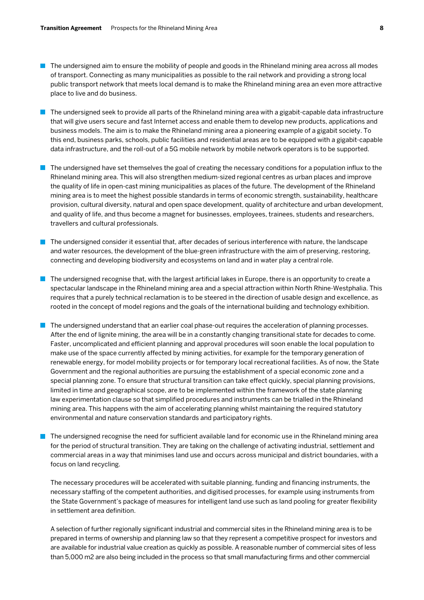- The undersigned aim to ensure the mobility of people and goods in the Rhineland mining area across all modes of transport. Connecting as many municipalities as possible to the rail network and providing a strong local public transport network that meets local demand is to make the Rhineland mining area an even more attractive place to live and do business.
- $\blacksquare$  The undersigned seek to provide all parts of the Rhineland mining area with a gigabit-capable data infrastructure that will give users secure and fast Internet access and enable them to develop new products, applications and business models. The aim is to make the Rhineland mining area a pioneering example of a gigabit society. To this end, business parks, schools, public facilities and residential areas are to be equipped with a gigabit-capable data infrastructure, and the roll-out of a 5G mobile network by mobile network operators is to be supported.
- $\blacksquare$  The undersigned have set themselves the goal of creating the necessary conditions for a population influx to the Rhineland mining area. This will also strengthen medium-sized regional centres as urban places and improve the quality of life in open-cast mining municipalities as places of the future. The development of the Rhineland mining area is to meet the highest possible standards in terms of economic strength, sustainability, healthcare provision, cultural diversity, natural and open space development, quality of architecture and urban development, and quality of life, and thus become a magnet for businesses, employees, trainees, students and researchers, travellers and cultural professionals.
- $\blacksquare$  The undersigned consider it essential that, after decades of serious interference with nature, the landscape and water resources, the development of the blue-green infrastructure with the aim of preserving, restoring, connecting and developing biodiversity and ecosystems on land and in water play a central role.
- $\blacksquare$  The undersigned recognise that, with the largest artificial lakes in Europe, there is an opportunity to create a spectacular landscape in the Rhineland mining area and a special attraction within North Rhine-Westphalia. This requires that a purely technical reclamation is to be steered in the direction of usable design and excellence, as rooted in the concept of model regions and the goals of the international building and technology exhibition.
- $\blacksquare$  The undersigned understand that an earlier coal phase-out requires the acceleration of planning processes. After the end of lignite mining, the area will be in a constantly changing transitional state for decades to come. Faster, uncomplicated and efficient planning and approval procedures will soon enable the local population to make use of the space currently affected by mining activities, for example for the temporary generation of renewable energy, for model mobility projects or for temporary local recreational facilities. As of now, the State Government and the regional authorities are pursuing the establishment of a special economic zone and a special planning zone. To ensure that structural transition can take effect quickly, special planning provisions, limited in time and geographical scope, are to be implemented within the framework of the state planning law experimentation clause so that simplified procedures and instruments can be trialled in the Rhineland mining area. This happens with the aim of accelerating planning whilst maintaining the required statutory environmental and nature conservation standards and participatory rights.
- The undersigned recognise the need for sufficient available land for economic use in the Rhineland mining area for the period of structural transition. They are taking on the challenge of activating industrial, settlement and commercial areas in a way that minimises land use and occurs across municipal and district boundaries, with a focus on land recycling.

The necessary procedures will be accelerated with suitable planning, funding and financing instruments, the necessary staffing of the competent authorities, and digitised processes, for example using instruments from the State Government's package of measures for intelligent land use such as land pooling for greater flexibility in settlement area definition.

A selection of further regionally significant industrial and commercial sites in the Rhineland mining area is to be prepared in terms of ownership and planning law so that they represent a competitive prospect for investors and are available for industrial value creation as quickly as possible. A reasonable number of commercial sites of less than 5,000 m2 are also being included in the process so that small manufacturing firms and other commercial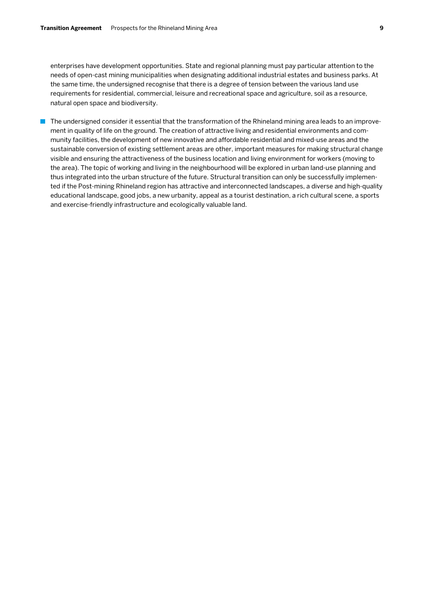enterprises have development opportunities. State and regional planning must pay particular attention to the needs of open-cast mining municipalities when designating additional industrial estates and business parks. At the same time, the undersigned recognise that there is a degree of tension between the various land use requirements for residential, commercial, leisure and recreational space and agriculture, soil as a resource, natural open space and biodiversity.

The undersigned consider it essential that the transformation of the Rhineland mining area leads to an improvement in quality of life on the ground. The creation of attractive living and residential environments and community facilities, the development of new innovative and affordable residential and mixed-use areas and the sustainable conversion of existing settlement areas are other, important measures for making structural change visible and ensuring the attractiveness of the business location and living environment for workers (moving to the area). The topic of working and living in the neighbourhood will be explored in urban land-use planning and thus integrated into the urban structure of the future. Structural transition can only be successfully implemented if the Post-mining Rhineland region has attractive and interconnected landscapes, a diverse and high-quality educational landscape, good jobs, a new urbanity, appeal as a tourist destination, a rich cultural scene, a sports and exercise-friendly infrastructure and ecologically valuable land.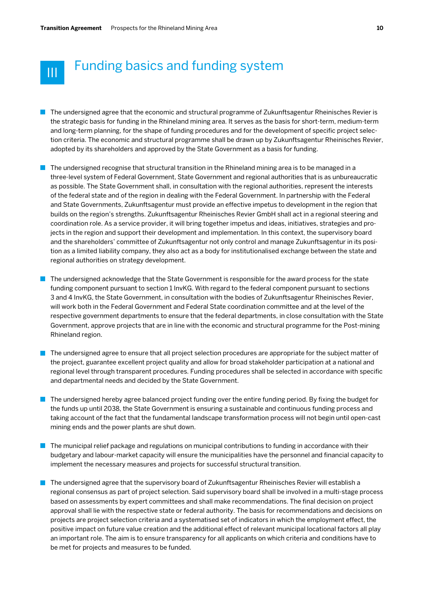

# **Funding basics and funding system**

- **The undersigned agree that the economic and structural programme of Zukunftsagentur Rheinisches Revier is** the strategic basis for funding in the Rhineland mining area. It serves as the basis for short-term, medium-term and long-term planning, for the shape of funding procedures and for the development of specific project selection criteria. The economic and structural programme shall be drawn up by Zukunftsagentur Rheinisches Revier, adopted by its shareholders and approved by the State Government as a basis for funding.
- $\blacksquare$  The undersigned recognise that structural transition in the Rhineland mining area is to be managed in a three-level system of Federal Government, State Government and regional authorities that is as unbureaucratic as possible. The State Government shall, in consultation with the regional authorities, represent the interests of the federal state and of the region in dealing with the Federal Government. In partnership with the Federal and State Governments, Zukunftsagentur must provide an effective impetus to development in the region that builds on the region's strengths. Zukunftsagentur Rheinisches Revier GmbH shall act in a regional steering and coordination role. As a service provider, it will bring together impetus and ideas, initiatives, strategies and projects in the region and support their development and implementation. In this context, the supervisory board and the shareholders' committee of Zukunftsagentur not only control and manage Zukunftsagentur in its position as a limited liability company, they also act as a body for institutionalised exchange between the state and regional authorities on strategy development.
- $\blacksquare$  The undersigned acknowledge that the State Government is responsible for the award process for the state funding component pursuant to section 1 InvKG. With regard to the federal component pursuant to sections 3 and 4 InvKG, the State Government, in consultation with the bodies of Zukunftsagentur Rheinisches Revier, will work both in the Federal Government and Federal State coordination committee and at the level of the respective government departments to ensure that the federal departments, in close consultation with the State Government, approve projects that are in line with the economic and structural programme for the Post-mining Rhineland region.
- **The undersigned agree to ensure that all project selection procedures are appropriate for the subject matter of** the project, guarantee excellent project quality and allow for broad stakeholder participation at a national and regional level through transparent procedures. Funding procedures shall be selected in accordance with specific and departmental needs and decided by the State Government.
- $\blacksquare$  The undersigned hereby agree balanced project funding over the entire funding period. By fixing the budget for the funds up until 2038, the State Government is ensuring a sustainable and continuous funding process and taking account of the fact that the fundamental landscape transformation process will not begin until open-cast mining ends and the power plants are shut down.
- $\blacksquare$  The municipal relief package and regulations on municipal contributions to funding in accordance with their budgetary and labour-market capacity will ensure the municipalities have the personnel and financial capacity to implement the necessary measures and projects for successful structural transition.
- $\blacksquare$  The undersigned agree that the supervisory board of Zukunftsagentur Rheinisches Revier will establish a regional consensus as part of project selection. Said supervisory board shall be involved in a multi-stage process based on assessments by expert committees and shall make recommendations. The final decision on project approval shall lie with the respective state or federal authority. The basis for recommendations and decisions on projects are project selection criteria and a systematised set of indicators in which the employment effect, the positive impact on future value creation and the additional effect of relevant municipal locational factors all play an important role. The aim is to ensure transparency for all applicants on which criteria and conditions have to be met for projects and measures to be funded.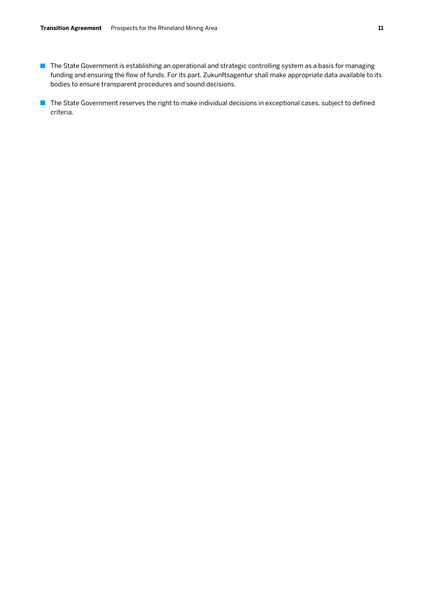- **The State Government is establishing an operational and strategic controlling system as a basis for managing** funding and ensuring the flow of funds. For its part, Zukunftsagentur shall make appropriate data available to its bodies to ensure transparent procedures and sound decisions.
- The State Government reserves the right to make individual decisions in exceptional cases, subject to defined criteria.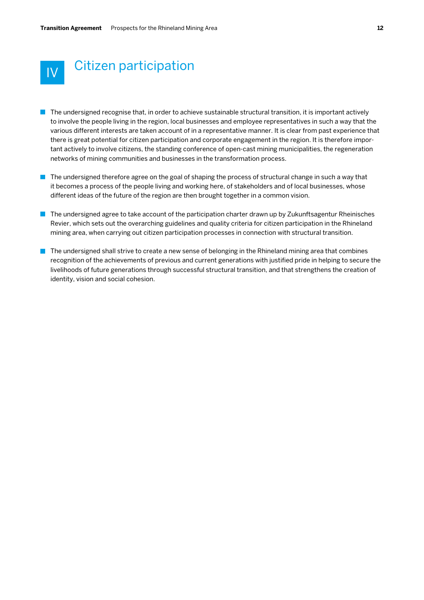

# IV Citizen participation

- $\blacksquare$  The undersigned recognise that, in order to achieve sustainable structural transition, it is important actively to involve the people living in the region, local businesses and employee representatives in such a way that the various different interests are taken account of in a representative manner. It is clear from past experience that there is great potential for citizen participation and corporate engagement in the region. It is therefore important actively to involve citizens, the standing conference of open-cast mining municipalities, the regeneration networks of mining communities and businesses in the transformation process.
- The undersigned therefore agree on the goal of shaping the process of structural change in such a way that it becomes a process of the people living and working here, of stakeholders and of local businesses, whose different ideas of the future of the region are then brought together in a common vision.
- The undersigned agree to take account of the participation charter drawn up by Zukunftsagentur Rheinisches Revier, which sets out the overarching guidelines and quality criteria for citizen participation in the Rhineland mining area, when carrying out citizen participation processes in connection with structural transition.
- $\blacksquare$  The undersigned shall strive to create a new sense of belonging in the Rhineland mining area that combines recognition of the achievements of previous and current generations with justified pride in helping to secure the livelihoods of future generations through successful structural transition, and that strengthens the creation of identity, vision and social cohesion.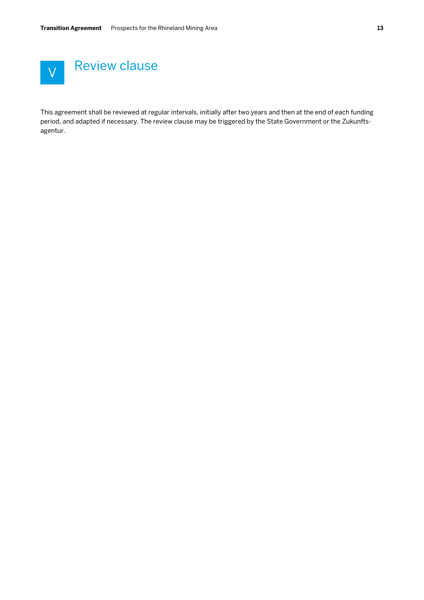

This agreement shall be reviewed at regular intervals, initially after two years and then at the end of each funding period, and adapted if necessary. The review clause may be triggered by the State Government or the Zukunftsagentur.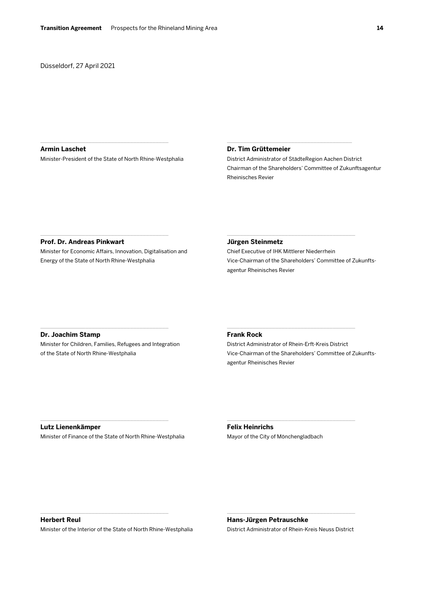Düsseldorf, 27 April 2021

#### **Armin Laschet**

Minister-President of the State of North Rhine-Westphalia

\_\_\_\_\_\_\_\_\_\_\_\_\_\_\_\_\_\_\_\_\_\_\_\_\_\_\_\_\_\_\_\_\_\_\_\_\_\_\_\_

## **Dr. Tim Grüttemeier**

District Administrator of StädteRegion Aachen District Chairman of the Shareholders' Committee of Zukunftsagentur Rheinisches Revier

\_\_\_\_\_\_\_\_\_\_\_\_\_\_\_\_\_\_\_\_\_\_\_\_\_\_\_\_\_\_\_\_\_\_\_\_\_\_\_

#### **Prof. Dr. Andreas Pinkwart**

Minister for Economic Affairs, Innovation, Digitalisation and Energy of the State of North Rhine-Westphalia

 $\mathcal{L}_\mathcal{L}$  , where  $\mathcal{L}_\mathcal{L}$  is the set of the set of the set of the set of the set of the set of the set of the set of the set of the set of the set of the set of the set of the set of the set of the set of the

#### **Jürgen Steinmetz**

Chief Executive of IHK Mittlerer Niederrhein Vice-Chairman of the Shareholders' Committee of Zukunftsagentur Rheinisches Revier

 $\mathcal{L}_\text{max}$  and  $\mathcal{L}_\text{max}$  and  $\mathcal{L}_\text{max}$  and  $\mathcal{L}_\text{max}$ 

# **Dr. Joachim Stamp**

Minister for Children, Families, Refugees and Integration of the State of North Rhine-Westphalia

\_\_\_\_\_\_\_\_\_\_\_\_\_\_\_\_\_\_\_\_\_\_\_\_\_\_\_\_\_\_\_\_\_\_\_\_\_\_\_\_

## **Frank Rock**

District Administrator of Rhein-Erft-Kreis District Vice-Chairman of the Shareholders' Committee of Zukunftsagentur Rheinisches Revier

\_\_\_\_\_\_\_\_\_\_\_\_\_\_\_\_\_\_\_\_\_\_\_\_\_\_\_\_\_\_\_\_\_\_\_\_\_\_\_\_

\_\_\_\_\_\_\_\_\_\_\_\_\_\_\_\_\_\_\_\_\_\_\_\_\_\_\_\_\_\_\_\_\_\_\_\_\_\_\_\_

#### **Lutz Lienenkämper**

Minister of Finance of the State of North Rhine-Westphalia

\_\_\_\_\_\_\_\_\_\_\_\_\_\_\_\_\_\_\_\_\_\_\_\_\_\_\_\_\_\_\_\_\_\_\_\_\_\_\_\_

# **Felix Heinrichs**

Mayor of the City of Mönchengladbach

**Herbert Reul**

Minister of the Interior of the State of North Rhine-Westphalia

\_\_\_\_\_\_\_\_\_\_\_\_\_\_\_\_\_\_\_\_\_\_\_\_\_\_\_\_\_\_\_\_\_\_\_\_\_\_\_\_

**Hans-Jürgen Petrauschke** District Administrator of Rhein-Kreis Neuss District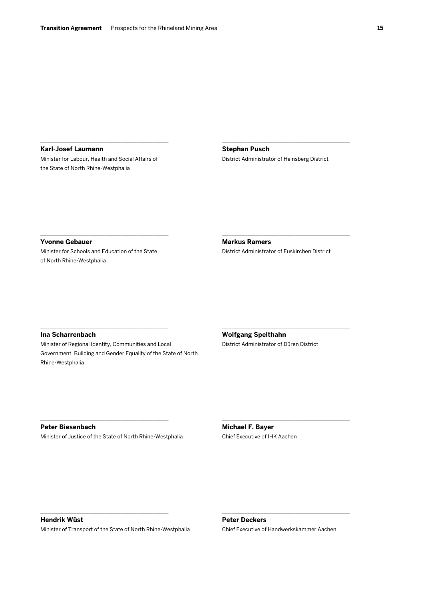**Karl-Josef Laumann** Minister for Labour, Health and Social Affairs of the State of North Rhine-Westphalia

\_\_\_\_\_\_\_\_\_\_\_\_\_\_\_\_\_\_\_\_\_\_\_\_\_\_\_\_\_\_\_\_\_\_\_\_\_\_\_\_

**Stephan Pusch** District Administrator of Heinsberg District

\_\_\_\_\_\_\_\_\_\_\_\_\_\_\_\_\_\_\_\_\_\_\_\_\_\_\_\_\_\_\_\_\_\_\_\_\_\_\_\_

**Yvonne Gebauer** Minister for Schools and Education of the State of North Rhine-Westphalia

 $\mathcal{L}_\mathcal{L}$  and the set of the set of the set of the set of the set of the set of the set of the set of the set of the set of the set of the set of the set of the set of the set of the set of the set of the set of the

\_\_\_\_\_\_\_\_\_\_\_\_\_\_\_\_\_\_\_\_\_\_\_\_\_\_\_\_\_\_\_\_\_\_\_\_\_\_\_\_

**Markus Ramers** District Administrator of Euskirchen District

 $\mathcal{L}_\text{max}$  and  $\mathcal{L}_\text{max}$  and  $\mathcal{L}_\text{max}$  and  $\mathcal{L}_\text{max}$ 

\_\_\_\_\_\_\_\_\_\_\_\_\_\_\_\_\_\_\_\_\_\_\_\_\_\_\_\_\_\_\_\_\_\_\_\_\_\_\_\_

\_\_\_\_\_\_\_\_\_\_\_\_\_\_\_\_\_\_\_\_\_\_\_\_\_\_\_\_\_\_\_\_\_\_\_\_\_\_\_\_

#### **Ina Scharrenbach**

Minister of Regional Identity, Communities and Local Government, Building and Gender Equality of the State of North Rhine-Westphalia

**Wolfgang Spelthahn** District Administrator of Düren District

#### **Peter Biesenbach**

Minister of Justice of the State of North Rhine-Westphalia

\_\_\_\_\_\_\_\_\_\_\_\_\_\_\_\_\_\_\_\_\_\_\_\_\_\_\_\_\_\_\_\_\_\_\_\_\_\_\_\_

**Michael F. Bayer** Chief Executive of IHK Aachen

# **Hendrik Wüst**

Minister of Transport of the State of North Rhine-Westphalia

\_\_\_\_\_\_\_\_\_\_\_\_\_\_\_\_\_\_\_\_\_\_\_\_\_\_\_\_\_\_\_\_\_\_\_\_\_\_\_\_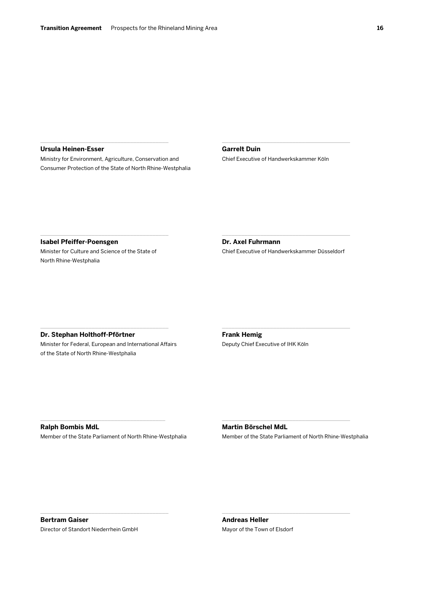#### **Ursula Heinen-Esser**

Ministry for Environment, Agriculture, Conservation and Consumer Protection of the State of North Rhine-Westphalia

\_\_\_\_\_\_\_\_\_\_\_\_\_\_\_\_\_\_\_\_\_\_\_\_\_\_\_\_\_\_\_\_\_\_\_\_\_\_\_\_

# **Garrelt Duin**

Chief Executive of Handwerkskammer Köln

\_\_\_\_\_\_\_\_\_\_\_\_\_\_\_\_\_\_\_\_\_\_\_\_\_\_\_\_\_\_\_\_\_\_\_\_\_\_\_\_

**Isabel Pfeiffer-Poensgen** Minister for Culture and Science of the State of North Rhine-Westphalia

 $\mathcal{L}_\mathcal{L}$  and the set of the set of the set of the set of the set of the set of the set of the set of the set of the set of the set of the set of the set of the set of the set of the set of the set of the set of the

**Dr. Axel Fuhrmann** Chief Executive of Handwerkskammer Düsseldorf

\_\_\_\_\_\_\_\_\_\_\_\_\_\_\_\_\_\_\_\_\_\_\_\_\_\_\_\_\_\_\_\_\_\_\_\_\_\_\_\_

 $\mathcal{L}_\text{max}$  and  $\mathcal{L}_\text{max}$  and  $\mathcal{L}_\text{max}$  and  $\mathcal{L}_\text{max}$ 

**Dr. Stephan Holthoff-Pförtner**

Minister for Federal, European and International Affairs of the State of North Rhine-Westphalia

\_\_\_\_\_\_\_\_\_\_\_\_\_\_\_\_\_\_\_\_\_\_\_\_\_\_\_\_\_\_\_\_\_\_\_\_\_\_\_\_

**Frank Hemig** Deputy Chief Executive of IHK Köln

**Ralph Bombis MdL** Member of the State Parliament of North Rhine-Westphalia

\_\_\_\_\_\_\_\_\_\_\_\_\_\_\_\_\_\_\_\_\_\_\_\_\_\_\_\_\_\_\_\_\_\_\_\_\_\_\_

# **Martin Börschel MdL**

Member of the State Parliament of North Rhine-Westphalia

\_\_\_\_\_\_\_\_\_\_\_\_\_\_\_\_\_\_\_\_\_\_\_\_\_\_\_\_\_\_\_\_\_\_\_\_\_\_\_\_

\_\_\_\_\_\_\_\_\_\_\_\_\_\_\_\_\_\_\_\_\_\_\_\_\_\_\_\_\_\_\_\_\_\_\_\_\_\_\_\_

**Bertram Gaiser** Director of Standort Niederrhein GmbH

\_\_\_\_\_\_\_\_\_\_\_\_\_\_\_\_\_\_\_\_\_\_\_\_\_\_\_\_\_\_\_\_\_\_\_\_\_\_\_\_

**Andreas Heller** Mayor of the Town of Elsdorf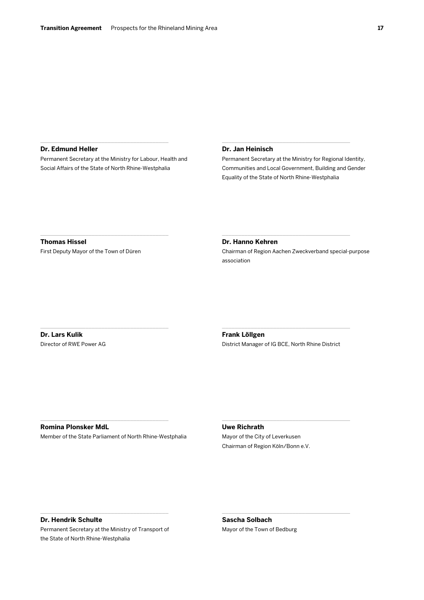## \_\_\_\_\_\_\_\_\_\_\_\_\_\_\_\_\_\_\_\_\_\_\_\_\_\_\_\_\_\_\_\_\_\_\_\_\_\_\_\_ **Dr. Edmund Heller**

Permanent Secretary at the Ministry for Labour, Health and Social Affairs of the State of North Rhine-Westphalia

#### **Dr. Jan Heinisch**

Permanent Secretary at the Ministry for Regional Identity, Communities and Local Government, Building and Gender Equality of the State of North Rhine-Westphalia

\_\_\_\_\_\_\_\_\_\_\_\_\_\_\_\_\_\_\_\_\_\_\_\_\_\_\_\_\_\_\_\_\_\_\_\_\_\_\_\_

**Thomas Hissel** First Deputy Mayor of the Town of Düren

 $\mathcal{L}_\mathcal{L}$  and the set of the set of the set of the set of the set of the set of the set of the set of the set of the set of the set of the set of the set of the set of the set of the set of the set of the set of the

\_\_\_\_\_\_\_\_\_\_\_\_\_\_\_\_\_\_\_\_\_\_\_\_\_\_\_\_\_\_\_\_\_\_\_\_\_\_\_\_

#### **Dr. Hanno Kehren**

Chairman of Region Aachen Zweckverband special-purpose association

 $\mathcal{L}_\text{max}$  and  $\mathcal{L}_\text{max}$  and  $\mathcal{L}_\text{max}$  and  $\mathcal{L}_\text{max}$ 

**Dr. Lars Kulik** Director of RWE Power AG

**Frank Löllgen** District Manager of IG BCE, North Rhine District

\_\_\_\_\_\_\_\_\_\_\_\_\_\_\_\_\_\_\_\_\_\_\_\_\_\_\_\_\_\_\_\_\_\_\_\_\_\_\_\_

\_\_\_\_\_\_\_\_\_\_\_\_\_\_\_\_\_\_\_\_\_\_\_\_\_\_\_\_\_\_\_\_\_\_\_\_\_\_\_\_

\_\_\_\_\_\_\_\_\_\_\_\_\_\_\_\_\_\_\_\_\_\_\_\_\_\_\_\_\_\_\_\_\_\_\_\_\_\_\_\_

# **Romina Plonsker MdL**

Member of the State Parliament of North Rhine-Westphalia

\_\_\_\_\_\_\_\_\_\_\_\_\_\_\_\_\_\_\_\_\_\_\_\_\_\_\_\_\_\_\_\_\_\_\_\_\_\_\_\_

# **Uwe Richrath**

Mayor of the City of Leverkusen Chairman of Region Köln/Bonn e.V.

#### **Dr. Hendrik Schulte**

Permanent Secretary at the Ministry of Transport of the State of North Rhine-Westphalia

\_\_\_\_\_\_\_\_\_\_\_\_\_\_\_\_\_\_\_\_\_\_\_\_\_\_\_\_\_\_\_\_\_\_\_\_\_\_\_\_

**Sascha Solbach** Mayor of the Town of Bedburg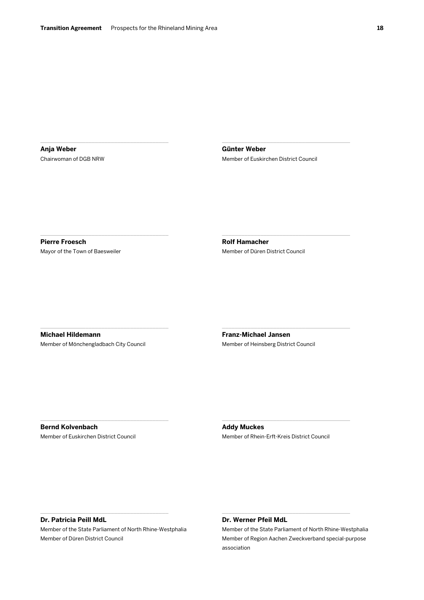**Anja Weber** Chairwoman of DGB NRW

\_\_\_\_\_\_\_\_\_\_\_\_\_\_\_\_\_\_\_\_\_\_\_\_\_\_\_\_\_\_\_\_\_\_\_\_\_\_\_\_

 $\mathcal{L}_\mathcal{L}$  and the set of the set of the set of the set of the set of the set of the set of the set of the set of the set of the set of the set of the set of the set of the set of the set of the set of the set of the

**Günter Weber** Member of Euskirchen District Council

\_\_\_\_\_\_\_\_\_\_\_\_\_\_\_\_\_\_\_\_\_\_\_\_\_\_\_\_\_\_\_\_\_\_\_\_\_\_\_\_

 $\mathcal{L}_\text{max}$  and  $\mathcal{L}_\text{max}$  and  $\mathcal{L}_\text{max}$  and  $\mathcal{L}_\text{max}$ 

\_\_\_\_\_\_\_\_\_\_\_\_\_\_\_\_\_\_\_\_\_\_\_\_\_\_\_\_\_\_\_\_\_\_\_\_\_\_\_\_

**Pierre Froesch** Mayor of the Town of Baesweiler **Rolf Hamacher** Member of Düren District Council

**Michael Hildemann** Member of Mönchengladbach City Council

\_\_\_\_\_\_\_\_\_\_\_\_\_\_\_\_\_\_\_\_\_\_\_\_\_\_\_\_\_\_\_\_\_\_\_\_\_\_\_\_

\_\_\_\_\_\_\_\_\_\_\_\_\_\_\_\_\_\_\_\_\_\_\_\_\_\_\_\_\_\_\_\_\_\_\_\_\_\_\_\_

**Franz-Michael Jansen** Member of Heinsberg District Council

**Bernd Kolvenbach** Member of Euskirchen District Council **Addy Muckes** Member of Rhein-Erft-Kreis District Council

\_\_\_\_\_\_\_\_\_\_\_\_\_\_\_\_\_\_\_\_\_\_\_\_\_\_\_\_\_\_\_\_\_\_\_\_\_\_\_\_

# **Dr. Patricia Peill MdL**

Member of the State Parliament of North Rhine-Westphalia Member of Düren District Council

\_\_\_\_\_\_\_\_\_\_\_\_\_\_\_\_\_\_\_\_\_\_\_\_\_\_\_\_\_\_\_\_\_\_\_\_\_\_\_\_

# **Dr. Werner Pfeil MdL**

Member of the State Parliament of North Rhine-Westphalia Member of Region Aachen Zweckverband special-purpose association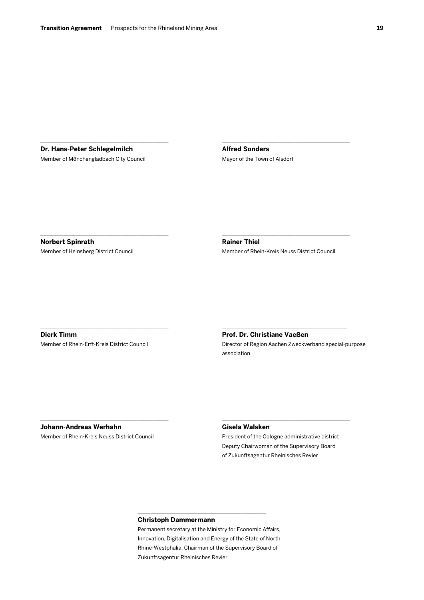**Dr. Hans-Peter Schlegelmilch** Member of Mönchengladbach City Council

\_\_\_\_\_\_\_\_\_\_\_\_\_\_\_\_\_\_\_\_\_\_\_\_\_\_\_\_\_\_\_\_\_\_\_\_\_\_\_\_

 $\mathcal{L}_\mathcal{L}$  and the set of the set of the set of the set of the set of the set of the set of the set of the set of the set of the set of the set of the set of the set of the set of the set of the set of the set of the

**Alfred Sonders** Mayor of the Town of Alsdorf

**Norbert Spinrath** Member of Heinsberg District Council **Rainer Thiel** Member of Rhein-Kreis Neuss District Council

 $\mathcal{L}_\text{max}$  and  $\mathcal{L}_\text{max}$  and  $\mathcal{L}_\text{max}$  and  $\mathcal{L}_\text{max}$ 

\_\_\_\_\_\_\_\_\_\_\_\_\_\_\_\_\_\_\_\_\_\_\_\_\_\_\_\_\_\_\_\_\_\_\_\_\_\_\_\_

**Dierk Timm**

Member of Rhein-Erft-Kreis District Council

\_\_\_\_\_\_\_\_\_\_\_\_\_\_\_\_\_\_\_\_\_\_\_\_\_\_\_\_\_\_\_\_\_\_\_\_\_\_\_\_

# **Prof. Dr. Christiane Vaeßen** Director of Region Aachen Zweckverband special-purpose

\_\_\_\_\_\_\_\_\_\_\_\_\_\_\_\_\_\_\_\_\_\_\_\_\_\_\_\_\_\_\_\_\_\_\_\_\_\_\_

association

**Johann-Andreas Werhahn**

Member of Rhein-Kreis Neuss District Council

\_\_\_\_\_\_\_\_\_\_\_\_\_\_\_\_\_\_\_\_\_\_\_\_\_\_\_\_\_\_\_\_\_\_\_\_\_\_\_\_

## **Gisela Walsken**

President of the Cologne administrative district Deputy Chairwoman of the Supervisory Board of Zukunftsagentur Rheinisches Revier

\_\_\_\_\_\_\_\_\_\_\_\_\_\_\_\_\_\_\_\_\_\_\_\_\_\_\_\_\_\_\_\_\_\_\_\_\_\_\_\_

# **Christoph Dammermann**

Permanent secretary at the Ministry for Economic Affairs, Innovation, Digitalisation and Energy of the State of North Rhine-Westphalia, Chairman of the Supervisory Board of Zukunftsagentur Rheinisches Revier